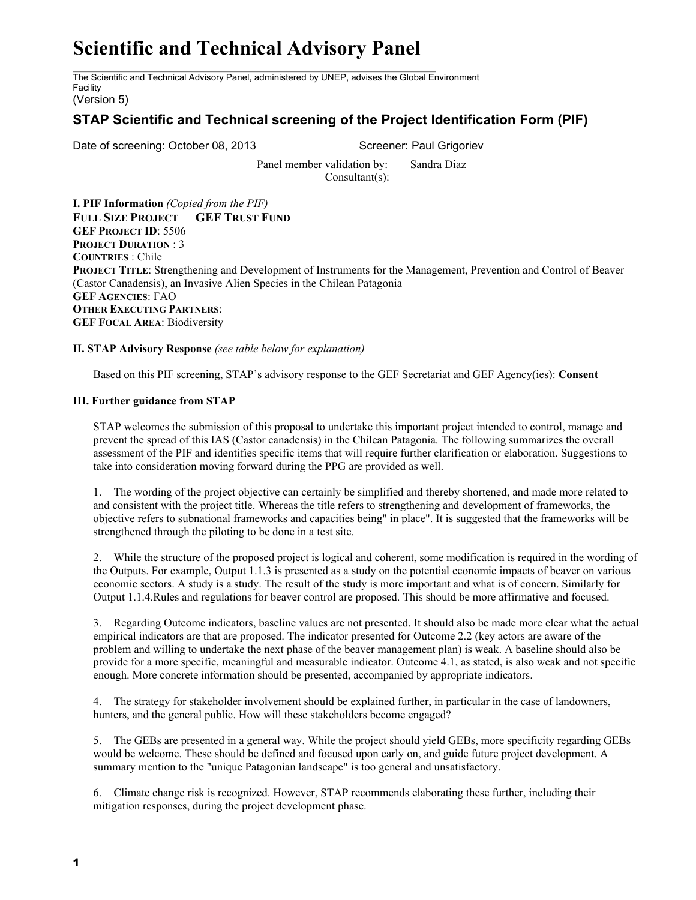## **Scientific and Technical Advisory Panel**

The Scientific and Technical Advisory Panel, administered by UNEP, advises the Global Environment Facility

(Version 5)

## **STAP Scientific and Technical screening of the Project Identification Form (PIF)**

Date of screening: October 08, 2013 Screener: Paul Grigoriev

Panel member validation by: Sandra Diaz Consultant(s):

**I. PIF Information** *(Copied from the PIF)* **FULL SIZE PROJECT GEF TRUST FUND GEF PROJECT ID**: 5506 **PROJECT DURATION** : 3 **COUNTRIES** : Chile **PROJECT TITLE**: Strengthening and Development of Instruments for the Management, Prevention and Control of Beaver (Castor Canadensis), an Invasive Alien Species in the Chilean Patagonia **GEF AGENCIES**: FAO **OTHER EXECUTING PARTNERS**: **GEF FOCAL AREA**: Biodiversity

**II. STAP Advisory Response** *(see table below for explanation)*

Based on this PIF screening, STAP's advisory response to the GEF Secretariat and GEF Agency(ies): **Consent**

## **III. Further guidance from STAP**

STAP welcomes the submission of this proposal to undertake this important project intended to control, manage and prevent the spread of this IAS (Castor canadensis) in the Chilean Patagonia. The following summarizes the overall assessment of the PIF and identifies specific items that will require further clarification or elaboration. Suggestions to take into consideration moving forward during the PPG are provided as well.

1. The wording of the project objective can certainly be simplified and thereby shortened, and made more related to and consistent with the project title. Whereas the title refers to strengthening and development of frameworks, the objective refers to subnational frameworks and capacities being" in place". It is suggested that the frameworks will be strengthened through the piloting to be done in a test site.

2. While the structure of the proposed project is logical and coherent, some modification is required in the wording of the Outputs. For example, Output 1.1.3 is presented as a study on the potential economic impacts of beaver on various economic sectors. A study is a study. The result of the study is more important and what is of concern. Similarly for Output 1.1.4.Rules and regulations for beaver control are proposed. This should be more affirmative and focused.

3. Regarding Outcome indicators, baseline values are not presented. It should also be made more clear what the actual empirical indicators are that are proposed. The indicator presented for Outcome 2.2 (key actors are aware of the problem and willing to undertake the next phase of the beaver management plan) is weak. A baseline should also be provide for a more specific, meaningful and measurable indicator. Outcome 4.1, as stated, is also weak and not specific enough. More concrete information should be presented, accompanied by appropriate indicators.

4. The strategy for stakeholder involvement should be explained further, in particular in the case of landowners, hunters, and the general public. How will these stakeholders become engaged?

5. The GEBs are presented in a general way. While the project should yield GEBs, more specificity regarding GEBs would be welcome. These should be defined and focused upon early on, and guide future project development. A summary mention to the "unique Patagonian landscape" is too general and unsatisfactory.

6. Climate change risk is recognized. However, STAP recommends elaborating these further, including their mitigation responses, during the project development phase.